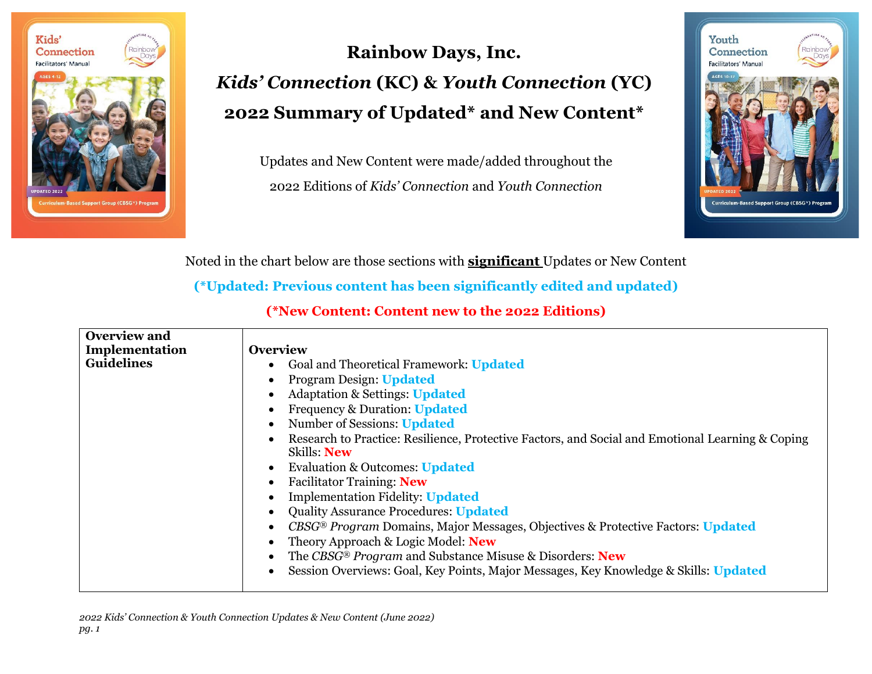

## **Rainbow Days, Inc.** *Kids' Connection* **(KC) &** *Youth Connection* **(YC) 2022 Summary of Updated\* and New Content\***

Updates and New Content were made/added throughout the 2022 Editions of *Kids' Connection* and *Youth Connection*



Noted in the chart below are those sections with **significant** Updates or New Content

**(\*Updated: Previous content has been significantly edited and updated)**

**(\*New Content: Content new to the 2022 Editions)**

| <b>Overview and</b> |                                                                                                                 |
|---------------------|-----------------------------------------------------------------------------------------------------------------|
| Implementation      | <b>Overview</b>                                                                                                 |
| <b>Guidelines</b>   | Goal and Theoretical Framework: Updated                                                                         |
|                     | <b>Program Design: Updated</b>                                                                                  |
|                     | <b>Adaptation &amp; Settings: Updated</b>                                                                       |
|                     | <b>Frequency &amp; Duration: Updated</b>                                                                        |
|                     | Number of Sessions: Updated                                                                                     |
|                     | Research to Practice: Resilience, Protective Factors, and Social and Emotional Learning & Coping<br>Skills: New |
|                     | Evaluation & Outcomes: Updated                                                                                  |
|                     | <b>Facilitator Training: New</b>                                                                                |
|                     | <b>Implementation Fidelity: Updated</b>                                                                         |
|                     | <b>Quality Assurance Procedures: Updated</b>                                                                    |
|                     | CBSG® Program Domains, Major Messages, Objectives & Protective Factors: Updated                                 |
|                     | Theory Approach & Logic Model: New                                                                              |
|                     | The CBSG® Program and Substance Misuse & Disorders: New                                                         |
|                     | Session Overviews: Goal, Key Points, Major Messages, Key Knowledge & Skills: Updated                            |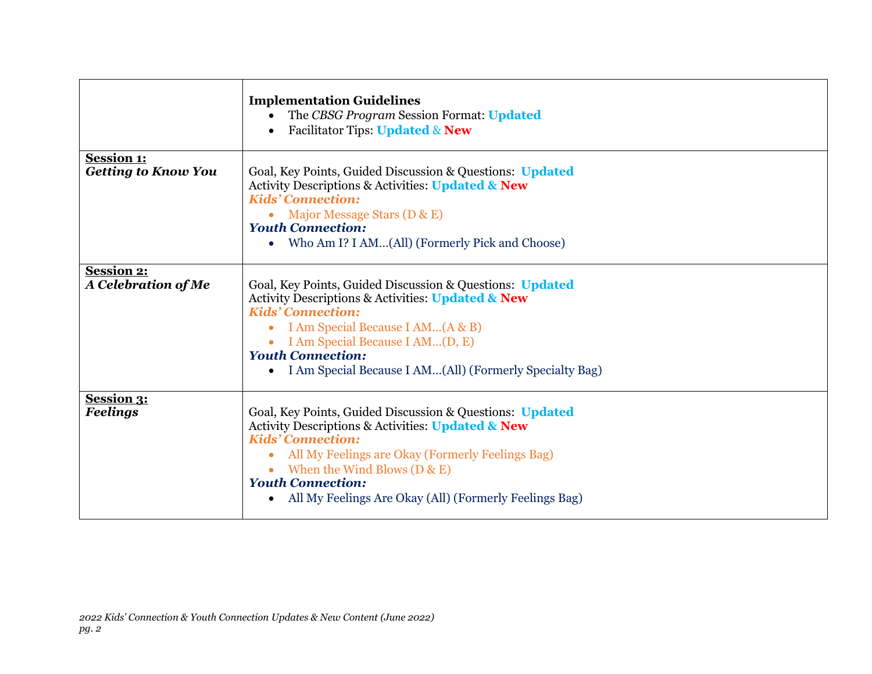|                                                 | <b>Implementation Guidelines</b><br>The CBSG Program Session Format: Updated<br><b>Facilitator Tips: Updated &amp; New</b><br>$\bullet$                                                                                                                                                                                             |
|-------------------------------------------------|-------------------------------------------------------------------------------------------------------------------------------------------------------------------------------------------------------------------------------------------------------------------------------------------------------------------------------------|
| <b>Session 1:</b><br><b>Getting to Know You</b> | Goal, Key Points, Guided Discussion & Questions: Updated<br>Activity Descriptions & Activities: Updated & New<br><b>Kids' Connection:</b><br>Major Message Stars (D & E)<br>$\bullet$<br><b>Youth Connection:</b><br>Who Am I? I AM(All) (Formerly Pick and Choose)<br>$\bullet$                                                    |
| <b>Session 2:</b><br>A Celebration of Me        | Goal, Key Points, Guided Discussion & Questions: Updated<br>Activity Descriptions & Activities: Updated & New<br><b>Kids' Connection:</b><br>I Am Special Because I AM(A & B)<br>$\bullet$<br>• I Am Special Because I AM(D, E)<br><b>Youth Connection:</b><br>I Am Special Because I AM(All) (Formerly Specialty Bag)<br>$\bullet$ |
| <b>Session 3:</b><br><b>Feelings</b>            | Goal, Key Points, Guided Discussion & Questions: Updated<br>Activity Descriptions & Activities: Updated & New<br><b>Kids' Connection:</b><br>All My Feelings are Okay (Formerly Feelings Bag)<br>• When the Wind Blows $(D & E)$<br><b>Youth Connection:</b><br>All My Feelings Are Okay (All) (Formerly Feelings Bag)<br>$\bullet$ |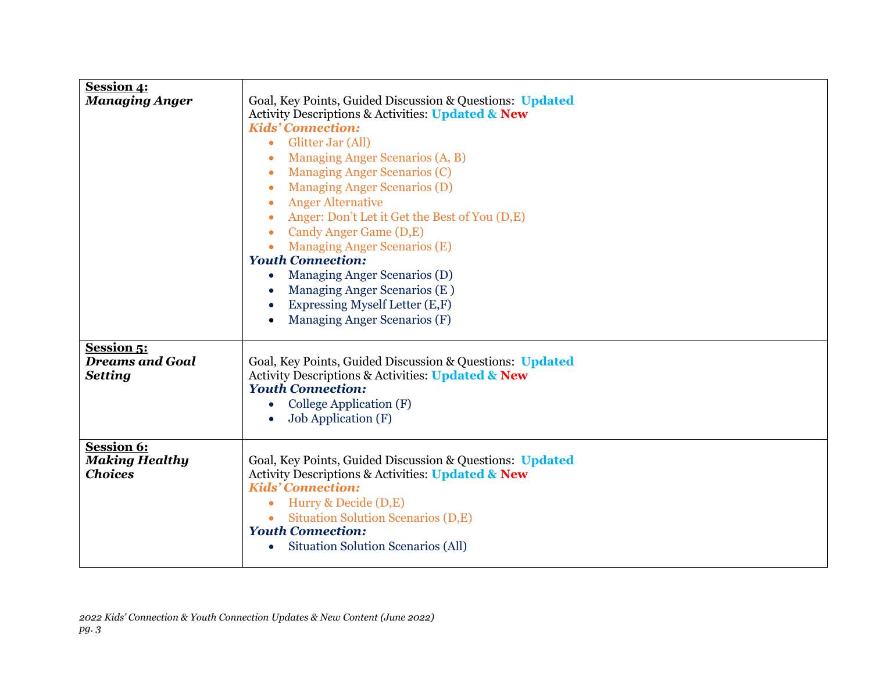| <b>Session 4:</b><br><b>Managing Anger</b>                    | Goal, Key Points, Guided Discussion & Questions: Updated<br>Activity Descriptions & Activities: Updated & New<br><b>Kids' Connection:</b><br>Glitter Jar (All)<br>$\bullet$<br>Managing Anger Scenarios (A, B)<br><b>Managing Anger Scenarios (C)</b><br>$\bullet$<br><b>Managing Anger Scenarios (D)</b><br>$\bullet$<br><b>Anger Alternative</b><br>$\bullet$<br>Anger: Don't Let it Get the Best of You (D,E)<br>Candy Anger Game (D,E)<br>$\bullet$<br><b>Managing Anger Scenarios (E)</b><br><b>Youth Connection:</b><br>Managing Anger Scenarios (D)<br>Managing Anger Scenarios (E)<br>Expressing Myself Letter (E,F)<br>Managing Anger Scenarios (F) |
|---------------------------------------------------------------|--------------------------------------------------------------------------------------------------------------------------------------------------------------------------------------------------------------------------------------------------------------------------------------------------------------------------------------------------------------------------------------------------------------------------------------------------------------------------------------------------------------------------------------------------------------------------------------------------------------------------------------------------------------|
| <b>Session 5:</b><br><b>Dreams and Goal</b><br><b>Setting</b> | Goal, Key Points, Guided Discussion & Questions: Updated<br><b>Activity Descriptions &amp; Activities: Updated &amp; New</b><br><b>Youth Connection:</b><br>College Application (F)<br><b>Job Application (F)</b>                                                                                                                                                                                                                                                                                                                                                                                                                                            |
| <b>Session 6:</b><br><b>Making Healthy</b><br><b>Choices</b>  | Goal, Key Points, Guided Discussion & Questions: Updated<br>Activity Descriptions & Activities: Updated & New<br><b>Kids' Connection:</b><br>Hurry & Decide (D,E)<br>$\bullet$<br>Situation Solution Scenarios (D,E)<br><b>Youth Connection:</b><br>Situation Solution Scenarios (All)<br>$\bullet$                                                                                                                                                                                                                                                                                                                                                          |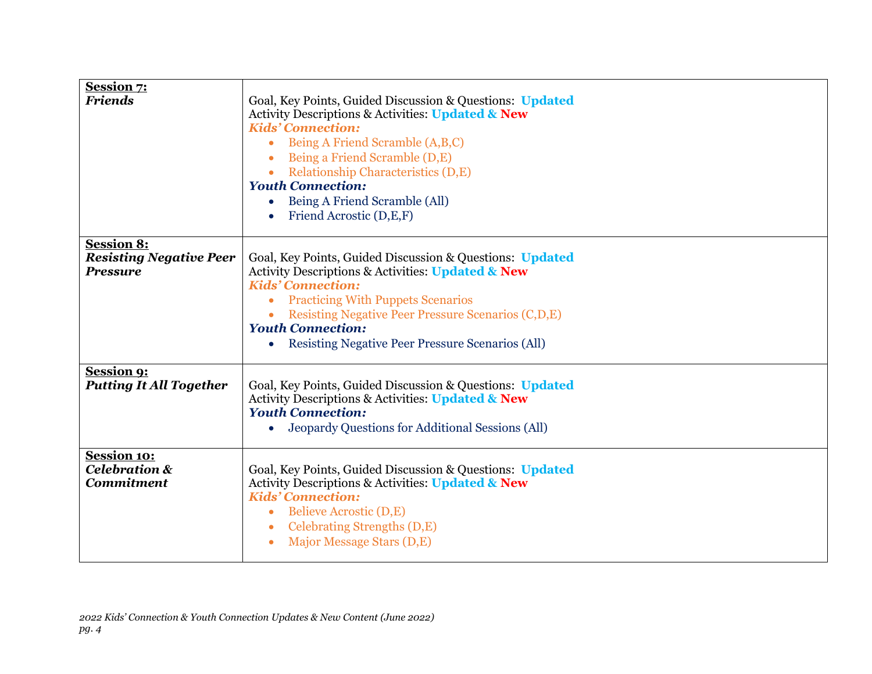| <b>Session 7:</b><br><b>Friends</b>                                    | Goal, Key Points, Guided Discussion & Questions: Updated<br><b>Activity Descriptions &amp; Activities: Updated &amp; New</b><br><b>Kids' Connection:</b><br>Being A Friend Scramble (A,B,C)<br>Being a Friend Scramble (D,E)<br>Relationship Characteristics (D,E)<br>$\bullet$<br><b>Youth Connection:</b><br>Being A Friend Scramble (All)<br>Friend Acrostic (D,E,F) |
|------------------------------------------------------------------------|-------------------------------------------------------------------------------------------------------------------------------------------------------------------------------------------------------------------------------------------------------------------------------------------------------------------------------------------------------------------------|
| <b>Session 8:</b><br><b>Resisting Negative Peer</b><br><b>Pressure</b> | Goal, Key Points, Guided Discussion & Questions: Updated<br>Activity Descriptions & Activities: Updated & New<br><b>Kids' Connection:</b><br><b>Practicing With Puppets Scenarios</b><br>Resisting Negative Peer Pressure Scenarios (C,D,E)<br><b>Youth Connection:</b><br><b>Resisting Negative Peer Pressure Scenarios (All)</b>                                      |
| <b>Session 9:</b><br><b>Putting It All Together</b>                    | Goal, Key Points, Guided Discussion & Questions: Updated<br>Activity Descriptions & Activities: Updated & New<br><b>Youth Connection:</b><br>Jeopardy Questions for Additional Sessions (All)<br>$\bullet$                                                                                                                                                              |
| <b>Session 10:</b><br><b>Celebration &amp;</b><br><b>Commitment</b>    | Goal, Key Points, Guided Discussion & Questions: Updated<br>Activity Descriptions & Activities: Updated & New<br><b>Kids' Connection:</b><br>Believe Acrostic (D,E)<br>$\bullet$<br>Celebrating Strengths (D,E)<br>$\bullet$<br>Major Message Stars (D,E)                                                                                                               |